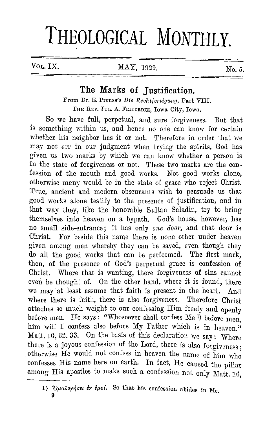## **THEOLOGICAL MONTHLY.**

## VOL. IX.  $MAX$ , 1929.  $N_0$  5.

## The Marks of Tustification.

From Dr. E. Preuss's *Die Rechtfertigung,* Part VIII. THE REV. JUL. A. FRIEDRICH, Iowa City, Iowa.

So we have full, perpetual, and sure forgiveness. But that is something within us, and hence no one can know for certain whether his neighbor has it or not. Therefore in order that we may not err in our judgment when trying the spirits, God has given us two marks by which we can know whether a person is in the state of forgiveness or not. These two marks are the confession of the mouth and good works. Not good works alone, otherwise many would be in the state of grace who reject Christ. True, ancient and modern obscurants wish to persuade us that good works alone testify to the presence of justification, and in that way they, like the honorable Sultan Saladin, try to bring themselves into heaven on a bypath. God's house, however, has no small side-entrance; it has only *one door,* and that door is Christ. For beside this name there is none other under heaven given among men whereby they can be saved, even though they do all the good works that can be performed. The first mark, then, of the presence of God's perpetual grace is confession of Christ. Where that is wanting, there forgiveness of sins cannot even be thought of. On the other hand, where it is found, there we may at least assume that faith is present in the heart. And where there is faith, there is also forgiveness. Therefore Christ attaches so much weight to our confessing Him freely and openly before men. He says: "Whosoever shall confess  $Me<sup>1</sup>$ ) before men. him will I confess also before My Father which is in heaven." Matt. 10, 32. 33. On the basis of this declaration we say: Where there is a joyous confession of the Lord, there is also forgiveness. otherwise  $\overrightarrow{He}$  would not confess in heaven the name of him who confesses His name here on earth. In fact, He caused the pillar among His apostles to make such a confession not only Matt. 16,

9

<sup>1)</sup> *'Oµoloyήσει έν έμοί*. So that his confession abides in Me.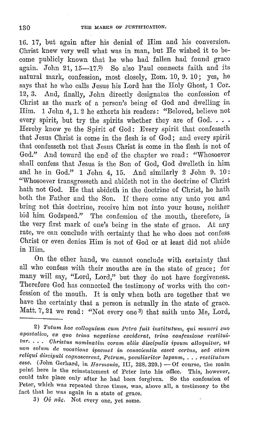16. 17, but again after his denial of Him and his conversion. Christ knew very well what was in man, but He wished it to become publicly known that he who had fallen had found grace again. John 21,  $15-17.2$ ) So also Paul connects faith and its natural mark, confession, most closely, Rom. 10, 9. 10; yes, he says that he who calls Jesus his Lord has the Holy Ghost, 1 Cor. 12, 3. And, finally, John directly designates the confession of Christ as the mark of a person's being of God and dwelling in Him. 1 John 4, 1. 2 he exhorts his readers: "Beloved, believe not every spirit, but try the spirits whether they are of God. . . . Hereby know ye the Spirit of God: Every spirit that confesseth that Jesus Christ is come in the flesh is of God; and every spirit that confesseth not that Jesus Christ is come in the flesh is not of God." And toward the end of the chapter we read: "Whosoever shall confess that Jesus is the Son of God, God dwelleth in him and he in God." 1 John 4, 15. And similarly 2 John 9. 10: "Whosoever transgresseth and abideth not in the doctrine of Christ hath not God. He that abideth in the doctrine of Christ, he hath both the Father and the Son. If there come any unto you and bring not this doctrine, receive him not into your house, neither bid him Godspeed." The confession of the mouth, therefore, is the very first mark of one's being in the state of grace. At any rate, we can conclude with certainty that he who does not confess Christ or even denies Him is not of God or at least did not abide in Him.

On the other hand, we cannot conclude with certainty that all who confess with their mouths are in the state of grace; for many will say, "Lord, Lord," but they do not have forgiveness. Therefore God has connected the testimony of works with the confession of the mouth. It is only when both are together that we have the certainty that a person is actually in the state of grace. Matt. 7, 21 we read: "Not every one<sup>3</sup>) that saith unto Me, Lord,

3)  $O\theta$   $\pi\tilde{a}$ s. Not every one, yet some.

<sup>2)</sup> *Tatum hoc colloquium ciwi Petro fuit institutitm, qiti muneri suo*  apostolico, ex quo trina negatione exciderat, trina confessione restitui- $\it tur. \ldots$  *Ohristus nominatim coram aliis discipulis ipsum alloquitur, ut no1i solum de vocatione ivsemet in conscientia esset certus, sed. etiarn rel·iqui cliscivuli cognoscerent, Petrum, peculiariter lapsum,* ... *restituturn esse.* (John Gerhard, in *Harmonia*, III, 328. 329.) - Of course, the main point here is the reinstatement of Peter into his office. This, however, could take place only after he had Leen forgiven. So the confession of Peter, which was repeated three times, was, above all, a testimony to the fact thnt he was again in a state of grace.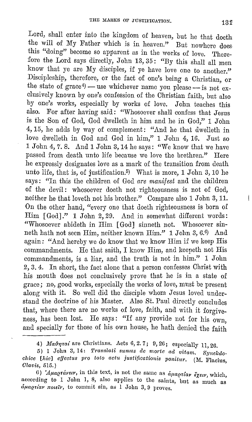Lord, shall enter into the kingdom of heaven, but he that doeth the will of My Father which is in heaven." But nowhere does this "doing" become so apparent as in the works of love. Therefore the Lord says directly, John 13, 35: "By this shall all men know that ye are My disciples, if ye have love one to another." Discipleship, therefore, or the fact of one's being a Christian, or the state of grace<sup>4</sup>) - use whichever name you please -- is not exclusively known by one's confession of the Christian faith, but also by one's works, especially by works of love. John teaches this also. For after having said: "Whosoever shall confess that Jesus is the Son of God, God dwelleth in him and he in God," 1 John 4, 15, he adds by way of complement: "And he that dwelleth in love dwelleth in God and God in him," 1 John 4, 16. Just so 1 John 4, 7. 8. And 1 John 3, 14 he says: "We know that we have passed from death unto life because we love the brethren." Here he expressly designates love as a mark of the transition from death unto life, that is, of justification.<sup>5</sup>) What is more, 1 John 3, 10 he says: "In this the children of God *are manifest* and the children of the devil: whosoever doeth not righteousness is not of God, neither he that loveth not his brother." Compare also 1 John 3, 11. On the other hand, "every one that doeth righteousness is born of Him [God]." 1 John 2, 29. And in somewhat different words: "Whosoever abideth in Him [God] sinneth not. Whosoever sinneth hath not seen Him, neither known Him." 1 John 3, 6.0) And again: "And hereby we do know that we know Him if we keep His commandments. He that saith, I know Him, and keepeth not His commandments, is a liar, and the truth is not in him." 1 John 2, 3. 4. In short, the fact alone that a person confesses Christ with his mouth does not conclusively prove that he is in a state of grace; no, good works, especially the works of love, must be present along with *it.* So well did the disciple whom Jesus loved understand the doctrine of his Master. Also St. Paul directly concludes that, where there are no works of love, faith, and with it forgiveness, has been lost. He says: "If any provide not for his own, and specially for those of his own house, he hath denied the faith

<sup>4)</sup> *Maθηταί* are Christians. Acts 6, 2.7; 9, 26; especially 11, 26.

<sup>5) 1</sup> John 3, 14: *Translati sumus de rnorte acl vitam. Svnclcdochice [hie] cffectus pro toto actu justificationis ponitur.* (M. Flacius, *Olavis,* 515.)

<sup>6)</sup> *'Aµagraveir*, in this text, is not the same as  $\delta \mu$ agriar  $\delta \chi_{\epsilon\epsilon\epsilon}$ , which, according to I John 1, 8, also applies to the saints, but as much as  $\partial \mu \alpha$ *priav noteiv*, to commit sin, as 1 John 3, 9 proves.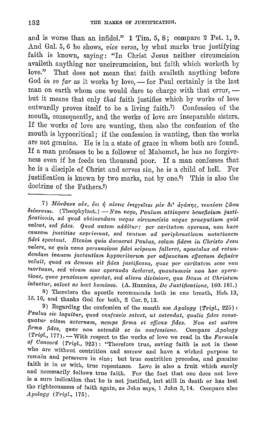and is worse than an infidel." 1 Tim. 5, 8; compare 2 Pet. 1, 9. And Gal. 5, 6 he shows, *vice versa*, by what marks true justifying faith is known, saying: "In Christ Jesus neither circumcision availeth anything nor uncircumcision, but faith which worketh by love." That does not mean that faith availeth anything before God *in so far* as it works by love, - for Paul certainly is the last man on earth whom one would dare to charge with that error,  $$ but it means that only that faith justifies which by works of love outwardly proves itself to be a living faith.7) Confession of the mouth, consequently, and the works of love are inseparable sisters. If the works of love are wanting, then also the confession of the mouth is hypocritical; if the confession is wanting, then the works are not genuine. He is in a state of grace in whom both are found. If a man professes to be a follower of Mahomet, he has no forgiveness even if he feeds ten thousand poor. If a man confesses that he is a disciple of Christ and serves sin, he is a child of hell. For justification is known by two marks, not by one.<sup>8</sup>) This is also the doctrine of the Fathers.9)

8) Therefore the apostle recommends both in one breath, Heb. 13, 15. 10, and thanks God for both, 2 Cor. 0, 13.

9) Regarding the confession of the mouth see *Apology (Trigl.,* 225) : *Paulus sic loquitur, quod confessio salvet, ut ostendat, qualis fides consequatui• vitam aeternam, nempe firma et efficax fides. Non est autem firma fidcs, quae non ostendit se in confessione.* Compare *Apology*  (*Trigl.,* 177). - With respect to the works of love we read in the *Formula of Concord* ( *Trigl.,* 023) : "Therefore true, saving faith is not in those who arc without contrition and sorrow and have a wicked purpose to remain and persevere in sins; but true contrition precedes, and genuine faith is in or with, true repentance. Love is also a fruit which surely and necessarily follows true faith. For the fact that one does not love is a sure indication that' he is not justified, but still in death or has lost tho righteousness of faith again, as John says, 1 John 3, 14. Compare also *Apology (Trigl., 175).* 

<sup>7)</sup> *Mάνθανε ούν, ότι ή πίστις ενεργείται μεν δι' αγάπης, τουτέστι ζώσα*  $\delta$ *cixvvrai.* (Theophylact.) – Non nego, Paulum attingere beneficium justi*ficationis, ad quod obtinendmn neque circmncisio neque praeputium quid*  valeat, sed fides. Quod autem additur: per caritatem operans, non haec *causam j,ustitiae expri.munt, sed tantum ad periphrasticam notationem fidei spectant. Etenim quia docuerat Paulus, solam fidem in Christo Jesu valere, nc quis vana persuasione fidei seipsum falleret, apostolus ad retundendam inanem jactantiam hypocritarum per adjmictum effectum definirc*   $v$ oluit, quod ea demum sit fides justificans, quae per caritatem sese non *mortuam, sed vivam esse operando declaret, quantumvis non hac operatione, quae proximum spectat, sed altera diviniore, qua Demn et Christum intuetui·, salvet ac beet homines.* (A. Hunnius, *De Justificatione,* 180. 181.)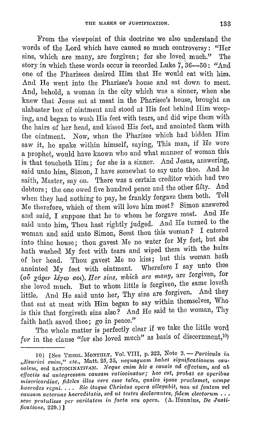From the viewpoint of this doctrine we also understand the words of the Lord which have caused so much controversy: "Her sins, which are many, are forgiven; for she loved much." The story in which these words occur is recorded Luke  $\ddot{\gamma}$ , 36-50: "And one 0£ the Pharisees desired Him that He would eat with him. And He went into the Pharisee's house and sat down to meat. And, behold, a woman in the city which was a sinner, when she knew that Jesus sat at meat in the Pharisee's house, brought an alabaster box of ointment and stood at His feet behind Him weeping, and began to wash His feet with tears, and did wipe them with the hairs of her head, and kissed His feet, and anointed them with the ointment. Now, when the Pharisee which had bidden Him saw it, he spake within himself, saying, This man, if He were a prophet, would have known who and what manner of woman this is that toucheth Him; for she is a sinner. And Jesus, answering, said unto him, Simon, I have somewhat to say unto thee. And he saith, Master, say on. There was a certain creditor which had two debtors; the one owed five hundred pence and the other fifty. And when they had nothing to pay, he frankly forgave them both. Tell Me therefore, which of them will love him most? Simon answered and said, I suppose that he to whom he forgave most. And He said unto him, Thou hast rightly judged. And He turned to the woman and said unto Simon, Seest thou this woman? I entered into thine house; thou gavest Me no water for My feet, but she hath washed My feet with tears and wiped them with the hairs of her head. Thou gavest Me no kiss; but this woman hath anointed My feet with ointment. Wherefore I say unto thee (oύ χάριν λέγω σοι), *Her sins, which are many*, are forgiven, for she loved much. But to whom little is forgiven, the same loveth little. And He said unto her, Thy sins are forgiven. And they that sat at meat with Him began to say within themselves, Who is this that forgiveth sins also? And He said to the woman, Thy faith hath saved thee; go in peace."

The whole matter is perfectly clear if we take the little word for in the clause "for she loved much" as basis of discernment,<sup>10</sup>)

<sup>10) [</sup>See THEOL. MONTHLY, Vol. VIII, p. 323, Note 3. - Particula in *,,Esni·ivi enim," etc.,* Matt. 25, *35, nequaquam habet signifioationem cau*salem, sed RATIOCINATIVAM. *Neque enim hic a causis ad effectum, sed ab offectis ad antegressam causam ratiocinatur; hoc est, probat ex operibus* misericordiae, fideles illos verc esse tales, quales ipsos proclamet, nempe *haeredes regni.... Sic itaque Christus opera allegabit, non ut fontem vel* causam aeternae hacreditatis, sed ut testes declarantes, fidem electorum ... sese protulisse per caritatem in facta seu opera. (A. Hunnius, *De Justificatione,* 220.)]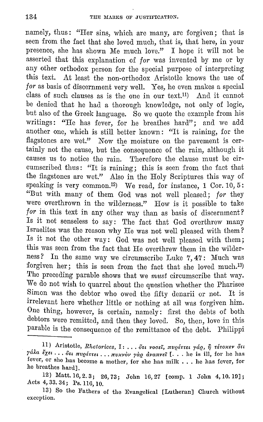namely, thus: "Her sins, which arc many, are forgiven; that is seen from the fact that she loved much, that is, that here, in your presence, she has shown Me much love." I hope it will not be asserted that this explanation of *for* was invented by me or by any other orthodox person for the special purpose of interpreting this text. At least the non-orthodox Aristotle knows the use of *for* as basis of discernment very well. Yes, he even makes a special class of such clauses as is the one in our tcxt.11) And it cannot be denied that he had a thorough knowledge, not only of logic, but also of the Greek language. So we quote the example from his writings: "He has fever, for he breathes hard"; and we add another one, which is still better known : "It is raining, for the flagstones are wet." Now the moisture on the pavement is certainly not the cause, but the consequence of the rain, although it causes us to notice the rain. Therefore the clause must be circumscribed thus: "It is raining; this is seen from the fact that the flagstones are wet." Also in the Holy Scriptures this way of speaking is very common.<sup>12</sup>) We read, for instance, 1 Cor. 10, 5: "But with many of them God was not well pleased; *for* they were overthrown in the wilderness." How is it possible to take for in this text in any other way than as basis of discernment? Is it not senseless to say: The fact that God overthrew many Israelites was the reason why He was not well pleased with them? Is it not the other way: God was not well pleased with them; this was seen from the fact that He overthrew them in the wilderness? In the same way we circumscribe Luke 7, 47: Much was forgiven her; this is seen from the fact that she loved much.<sup>13)</sup> The preceding parable shows that we *must* circumscribe that way. We do not wish to quarrel about the question whether the Pharisee Simon was the debtor who owed the fifty denarii or not. It is irrelevant here whether little or nothing at all was forgiven him. One thing, however, is certain, namely: first the debts of both debtors were remitted, and then they loved. So, then, love in this parable is the consequence of the remittance of the debt. Philippi

<sup>11)</sup> Aristotle, *Rhetorices*, Ι: ... δτι νοσεί, πυρέττει γάρ, η τέτοκεν δτι *yála <sup>ε</sup>χει*... *δτι πυρέττει... πυχνον γαρ αναπνεί* [... he is ill, for he has fever, or she has become a mother, for she has milk . . . he has fever, for he breathes hard].

<sup>12)</sup> Matt. 16, 2. 3; 26, 73; John 16, 27 [comp. 1 John 4, 10. 19]; Acts 4, 33. 34; Ps. 116, 10.

<sup>13)</sup> So the Fathers of the Evangelical [Lutheran] Church without exception.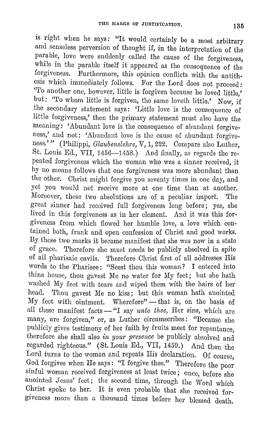is right when he says: "It would certainly be a most arbitrary and senseless perversion of thought if, in the interpretation of the parable, love were suddenly called the cause of the forgiveness, while in the parable itself it appeared as the consequence of the forgiveness. Furthermore, this opinion conflicts with the antithesis which immediately follows. For the Lord does not proceed: 'To another one, however, little is forgiven because he loved little,' but: 'To whom little is forgiven, the same loveth little.' Now, if the secondary statement says: 'Little love is the consequence of little forgiveness,' then the primary statement must also have the meaning: 'Abundant love is the consequence of abundant forgiveness,' and not: 'Abundant love is the cause of abundant forgiveness.'" (Philippi, *Glaubenslehre,* V, **1,** 222. Compare also Luther, St. Louis Ed.,  $VII$ , 1456-1458.) And finally, as regards the repeated forgiveness which the woman who was a sinner received, it by no means follows that one forgiveness was more abundant than the other. Christ might forgive you seventy times in one day, and yet you would not receive more at one time than at another. Moreover, these two absolutions are of a peculiar import. The great sinner had received full forgiveness long before; yes, she lived in this forgiveness as in her clement. And it was this forgiveness from which flowed her humble love, a love which contained both, frank and open confession of Christ and good works. By these two marks it became manifest that she was now in a state of grace. 'l'herefore she must needs be publicly absolved in spite of all pharisaic cavils. Therefore Christ first of all addresses His words to the Pharisee: "Seest thou this woman? I entered into thine house, thou gavest Me no water for My feet; but she hath washed My feet with tears and wiped them with the hairs of her head. Thou gavest Me no kiss; but this woman hath anointed My feet with ointment. Wherefore"- that is, on the basis of all these manifest facts - "I say *unto thee*, Her sins, which are many, are forgiven," or, as Luther circumscribes: "Because she publicly gives testimony of her faith by fruits meet for repentance, therefore she shall also *in your presence* be publicly absolved and regarded righteous." (St. Louis Ed., VII, 1459.) And then the Lord turns to the woman and repeats His declaration. Of course, God forgives when He says: "I forgive thee." Therefore the poor sinful woman received forgiveness at least twice; once, before she anointed Jesus' feet; the second time, through the Word which Christ spoke to her. It is even probable that she received forgiveness more than a thousand times before her blessed death.